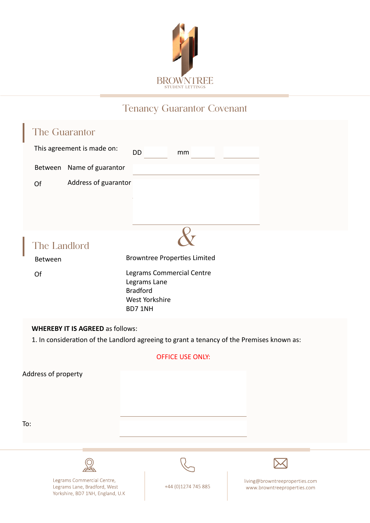

## Tenancy Guarantor Covenant

| The Guarantor                                                                                                                        |                                                                                           |                         |  |                                                               |  |  |  |
|--------------------------------------------------------------------------------------------------------------------------------------|-------------------------------------------------------------------------------------------|-------------------------|--|---------------------------------------------------------------|--|--|--|
| This agreement is made on:                                                                                                           | DD                                                                                        | mm                      |  |                                                               |  |  |  |
| Name of guarantor<br>Between                                                                                                         |                                                                                           |                         |  |                                                               |  |  |  |
| Address of guarantor<br>Of                                                                                                           |                                                                                           |                         |  |                                                               |  |  |  |
| The Landlord                                                                                                                         |                                                                                           |                         |  |                                                               |  |  |  |
| Between                                                                                                                              | <b>Browntree Properties Limited</b>                                                       |                         |  |                                                               |  |  |  |
| Of                                                                                                                                   | Legrams Commercial Centre<br>Legrams Lane<br><b>Bradford</b><br>West Yorkshire<br>BD7 1NH |                         |  |                                                               |  |  |  |
| <b>WHEREBY IT IS AGREED as follows:</b><br>1. In consideration of the Landlord agreeing to grant a tenancy of the Premises known as: |                                                                                           |                         |  |                                                               |  |  |  |
|                                                                                                                                      |                                                                                           | <b>OFFICE USE ONLY:</b> |  |                                                               |  |  |  |
| Address of property                                                                                                                  |                                                                                           |                         |  |                                                               |  |  |  |
| To:                                                                                                                                  |                                                                                           |                         |  |                                                               |  |  |  |
|                                                                                                                                      |                                                                                           |                         |  |                                                               |  |  |  |
|                                                                                                                                      |                                                                                           |                         |  |                                                               |  |  |  |
| Legrams Commercial Centre,<br>Legrams Lane, Bradford, West<br>Yorkshire, BD7 1NH, England, U.K                                       |                                                                                           | +44 (0)1274 745 885     |  | living@browntreeproperties.com<br>www.browntreeproperties.com |  |  |  |